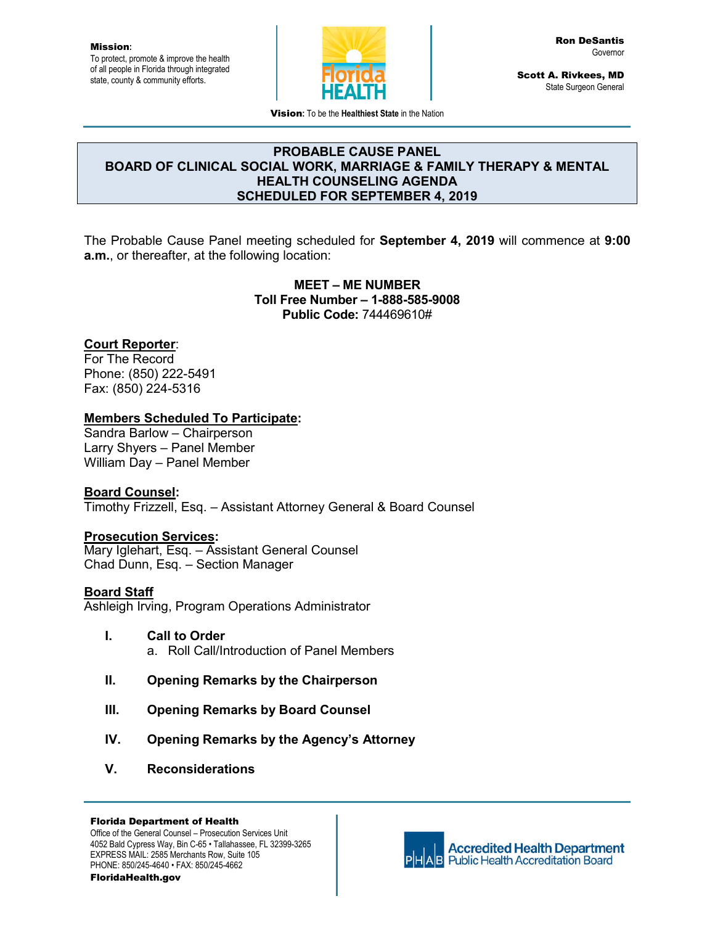Mission**:** To protect, promote & improve the health of all people in Florida through integrated state, county & community efforts.



Scott A. Rivkees, MD State Surgeon General

Vision**:** To be the **Healthiest State** in the Nation

#### **PROBABLE CAUSE PANEL BOARD OF CLINICAL SOCIAL WORK, MARRIAGE & FAMILY THERAPY & MENTAL HEALTH COUNSELING AGENDA SCHEDULED FOR SEPTEMBER 4, 2019**

The Probable Cause Panel meeting scheduled for **September 4, 2019** will commence at **9:00 a.m.**, or thereafter, at the following location:

> **MEET – ME NUMBER Toll Free Number – 1-888-585-9008 Public Code:** 744469610#

# **Court Reporter**:

For The Record Phone: (850) 222-5491 Fax: (850) 224-5316

### **Members Scheduled To Participate:**

Sandra Barlow – Chairperson Larry Shyers – Panel Member William Day – Panel Member

#### **Board Counsel:**

Timothy Frizzell, Esq. – Assistant Attorney General & Board Counsel

#### **Prosecution Services:**

Mary Iglehart, Esq. – Assistant General Counsel Chad Dunn, Esq. – Section Manager

#### **Board Staff**

Ashleigh Irving, Program Operations Administrator

- **I. Call to Order** a. Roll Call/Introduction of Panel Members
- **II. Opening Remarks by the Chairperson**
- **III. Opening Remarks by Board Counsel**
- **IV. Opening Remarks by the Agency's Attorney**
- **V. Reconsiderations**